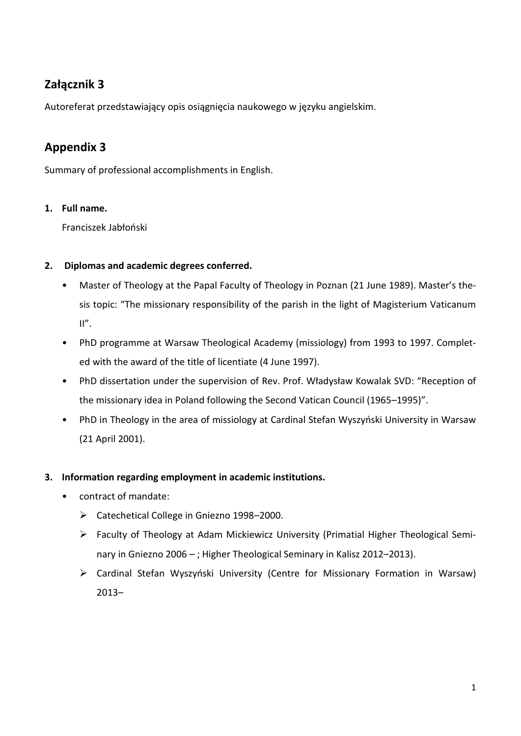# **Załącznik 3**

Autoreferat przedstawiający opis osiągnięcia naukowego w języku angielskim.

# **Appendix 3**

Summary of professional accomplishments in English.

# **1. Full name.**

Franciszek Jabłoński

# **2. Diplomas and academic degrees conferred.**

- Master of Theology at the Papal Faculty of Theology in Poznan (21 June 1989). Master's thesis topic: "The missionary responsibility of the parish in the light of Magisterium Vaticanum  $II''$ .
- PhD programme at Warsaw Theological Academy (missiology) from 1993 to 1997. Completed with the award of the title of licentiate (4 June 1997).
- PhD dissertation under the supervision of Rev. Prof. Władysław Kowalak SVD: "Reception of the missionary idea in Poland following the Second Vatican Council (1965–1995)".
- PhD in Theology in the area of missiology at Cardinal Stefan Wyszyński University in Warsaw (21 April 2001).

## **3. Information regarding employment in academic institutions.**

- contract of mandate:
	- Catechetical College in Gniezno 1998–2000.
	- Faculty of Theology at Adam Mickiewicz University (Primatial Higher Theological Seminary in Gniezno 2006 – ; Higher Theological Seminary in Kalisz 2012–2013).
	- Cardinal Stefan Wyszyński University (Centre for Missionary Formation in Warsaw) 2013–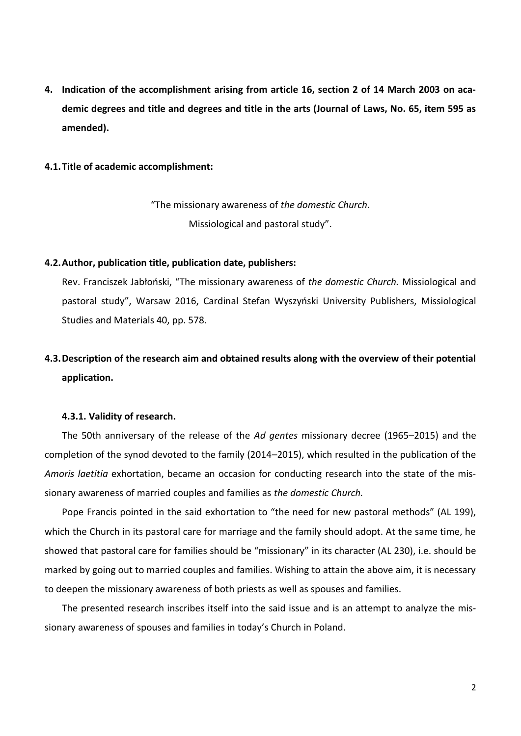**4. Indication of the accomplishment arising from article 16, section 2 of 14 March 2003 on academic degrees and title and degrees and title in the arts (Journal of Laws, No. 65, item 595 as amended).** 

#### **4.1.Title of academic accomplishment:**

"The missionary awareness of *the domestic Church*. Missiological and pastoral study".

## **4.2.Author, publication title, publication date, publishers:**

Rev. Franciszek Jabłoński, "The missionary awareness of *the domestic Church.* Missiological and pastoral study", Warsaw 2016, Cardinal Stefan Wyszyński University Publishers, Missiological Studies and Materials 40, pp. 578.

# **4.3.Description of the research aim and obtained results along with the overview of their potential application.**

## **4.3.1. Validity of research.**

The 50th anniversary of the release of the *Ad gentes* missionary decree (1965–2015) and the completion of the synod devoted to the family (2014–2015), which resulted in the publication of the *Amoris laetitia* exhortation, became an occasion for conducting research into the state of the missionary awareness of married couples and families as *the domestic Church.*

Pope Francis pointed in the said exhortation to "the need for new pastoral methods" (AL 199), which the Church in its pastoral care for marriage and the family should adopt. At the same time, he showed that pastoral care for families should be "missionary" in its character (AL 230), i.e. should be marked by going out to married couples and families. Wishing to attain the above aim, it is necessary to deepen the missionary awareness of both priests as well as spouses and families.

The presented research inscribes itself into the said issue and is an attempt to analyze the missionary awareness of spouses and families in today's Church in Poland.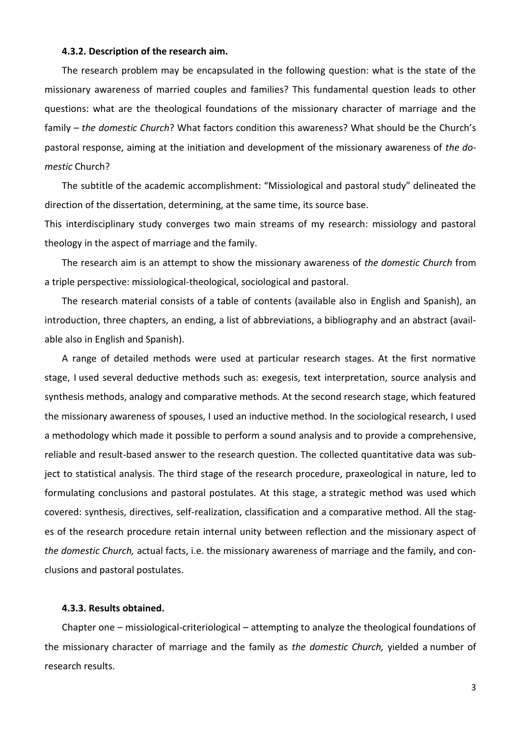#### **4.3.2. Description of the research aim.**

The research problem may be encapsulated in the following question: what is the state of the missionary awareness of married couples and families? This fundamental question leads to other questions: what are the theological foundations of the missionary character of marriage and the family – *the domestic Church*? What factors condition this awareness? What should be the Church's pastoral response, aiming at the initiation and development of the missionary awareness of *the domestic* Church?

The subtitle of the academic accomplishment: "Missiological and pastoral study" delineated the direction of the dissertation, determining, at the same time, its source base.

This interdisciplinary study converges two main streams of my research: missiology and pastoral theology in the aspect of marriage and the family.

The research aim is an attempt to show the missionary awareness of *the domestic Church* from a triple perspective: missiological-theological, sociological and pastoral.

The research material consists of a table of contents (available also in English and Spanish), an introduction, three chapters, an ending, a list of abbreviations, a bibliography and an abstract (available also in English and Spanish).

A range of detailed methods were used at particular research stages. At the first normative stage, I used several deductive methods such as: exegesis, text interpretation, source analysis and synthesis methods, analogy and comparative methods. At the second research stage, which featured the missionary awareness of spouses, I used an inductive method. In the sociological research, I used a methodology which made it possible to perform a sound analysis and to provide a comprehensive, reliable and result-based answer to the research question. The collected quantitative data was subject to statistical analysis. The third stage of the research procedure, praxeological in nature, led to formulating conclusions and pastoral postulates. At this stage, a strategic method was used which covered: synthesis, directives, self-realization, classification and a comparative method. All the stages of the research procedure retain internal unity between reflection and the missionary aspect of *the domestic Church,* actual facts, i.e. the missionary awareness of marriage and the family, and conclusions and pastoral postulates.

### **4.3.3. Results obtained.**

Chapter one – missiological-criteriological – attempting to analyze the theological foundations of the missionary character of marriage and the family as *the domestic Church,* yielded a number of research results.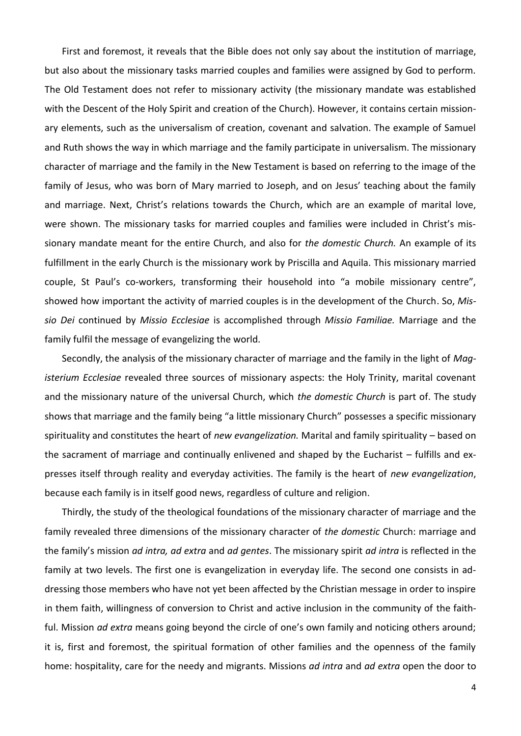First and foremost, it reveals that the Bible does not only say about the institution of marriage, but also about the missionary tasks married couples and families were assigned by God to perform. The Old Testament does not refer to missionary activity (the missionary mandate was established with the Descent of the Holy Spirit and creation of the Church). However, it contains certain missionary elements, such as the universalism of creation, covenant and salvation. The example of Samuel and Ruth shows the way in which marriage and the family participate in universalism. The missionary character of marriage and the family in the New Testament is based on referring to the image of the family of Jesus, who was born of Mary married to Joseph, and on Jesus' teaching about the family and marriage. Next, Christ's relations towards the Church, which are an example of marital love, were shown. The missionary tasks for married couples and families were included in Christ's missionary mandate meant for the entire Church, and also for *the domestic Church.* An example of its fulfillment in the early Church is the missionary work by Priscilla and Aquila. This missionary married couple, St Paul's co-workers, transforming their household into "a mobile missionary centre", showed how important the activity of married couples is in the development of the Church. So, *Missio Dei* continued by *Missio Ecclesiae* is accomplished through *Missio Familiae.* Marriage and the family fulfil the message of evangelizing the world.

Secondly, the analysis of the missionary character of marriage and the family in the light of *Magisterium Ecclesiae* revealed three sources of missionary aspects: the Holy Trinity, marital covenant and the missionary nature of the universal Church, which *the domestic Church* is part of. The study shows that marriage and the family being "a little missionary Church" possesses a specific missionary spirituality and constitutes the heart of *new evangelization.* Marital and family spirituality – based on the sacrament of marriage and continually enlivened and shaped by the Eucharist – fulfills and expresses itself through reality and everyday activities. The family is the heart of *new evangelization*, because each family is in itself good news, regardless of culture and religion.

Thirdly, the study of the theological foundations of the missionary character of marriage and the family revealed three dimensions of the missionary character of *the domestic* Church: marriage and the family's mission *ad intra, ad extra* and *ad gentes*. The missionary spirit *ad intra* is reflected in the family at two levels. The first one is evangelization in everyday life. The second one consists in addressing those members who have not yet been affected by the Christian message in order to inspire in them faith, willingness of conversion to Christ and active inclusion in the community of the faithful. Mission *ad extra* means going beyond the circle of one's own family and noticing others around; it is, first and foremost, the spiritual formation of other families and the openness of the family home: hospitality, care for the needy and migrants. Missions *ad intra* and *ad extra* open the door to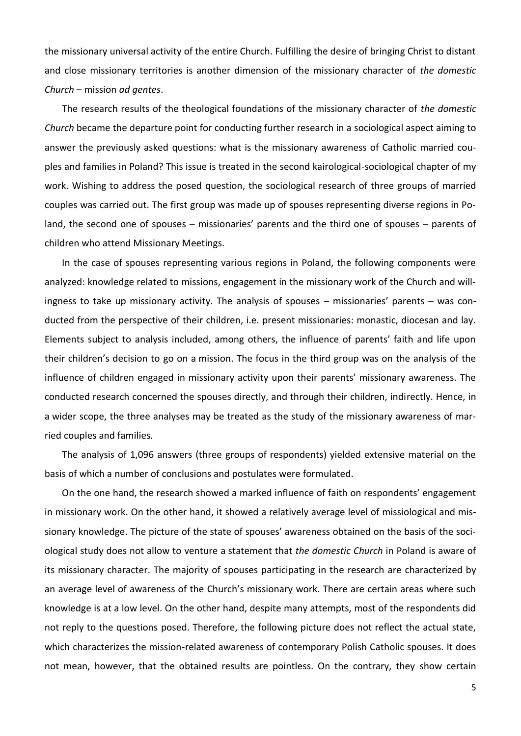the missionary universal activity of the entire Church. Fulfilling the desire of bringing Christ to distant and close missionary territories is another dimension of the missionary character of *the domestic Church* – mission *ad gentes*.

The research results of the theological foundations of the missionary character of *the domestic Church* became the departure point for conducting further research in a sociological aspect aiming to answer the previously asked questions: what is the missionary awareness of Catholic married couples and families in Poland? This issue is treated in the second kairological-sociological chapter of my work. Wishing to address the posed question, the sociological research of three groups of married couples was carried out. The first group was made up of spouses representing diverse regions in Poland, the second one of spouses – missionaries' parents and the third one of spouses – parents of children who attend Missionary Meetings.

In the case of spouses representing various regions in Poland, the following components were analyzed: knowledge related to missions, engagement in the missionary work of the Church and willingness to take up missionary activity. The analysis of spouses – missionaries' parents – was conducted from the perspective of their children, i.e. present missionaries: monastic, diocesan and lay. Elements subject to analysis included, among others, the influence of parents' faith and life upon their children's decision to go on a mission. The focus in the third group was on the analysis of the influence of children engaged in missionary activity upon their parents' missionary awareness. The conducted research concerned the spouses directly, and through their children, indirectly. Hence, in a wider scope, the three analyses may be treated as the study of the missionary awareness of married couples and families.

The analysis of 1,096 answers (three groups of respondents) yielded extensive material on the basis of which a number of conclusions and postulates were formulated.

On the one hand, the research showed a marked influence of faith on respondents' engagement in missionary work. On the other hand, it showed a relatively average level of missiological and missionary knowledge. The picture of the state of spouses' awareness obtained on the basis of the sociological study does not allow to venture a statement that *the domestic Church* in Poland is aware of its missionary character. The majority of spouses participating in the research are characterized by an average level of awareness of the Church's missionary work. There are certain areas where such knowledge is at a low level. On the other hand, despite many attempts, most of the respondents did not reply to the questions posed. Therefore, the following picture does not reflect the actual state, which characterizes the mission-related awareness of contemporary Polish Catholic spouses. It does not mean, however, that the obtained results are pointless. On the contrary, they show certain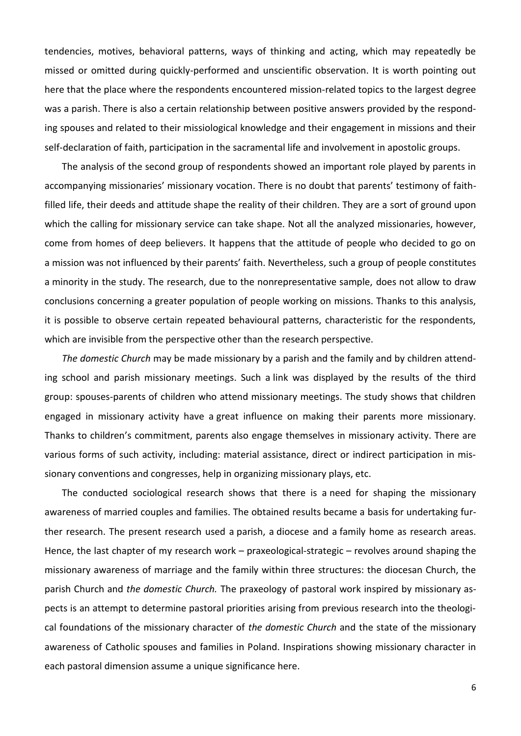tendencies, motives, behavioral patterns, ways of thinking and acting, which may repeatedly be missed or omitted during quickly-performed and unscientific observation. It is worth pointing out here that the place where the respondents encountered mission-related topics to the largest degree was a parish. There is also a certain relationship between positive answers provided by the responding spouses and related to their missiological knowledge and their engagement in missions and their self-declaration of faith, participation in the sacramental life and involvement in apostolic groups.

The analysis of the second group of respondents showed an important role played by parents in accompanying missionaries' missionary vocation. There is no doubt that parents' testimony of faithfilled life, their deeds and attitude shape the reality of their children. They are a sort of ground upon which the calling for missionary service can take shape. Not all the analyzed missionaries, however, come from homes of deep believers. It happens that the attitude of people who decided to go on a mission was not influenced by their parents' faith. Nevertheless, such a group of people constitutes a minority in the study. The research, due to the nonrepresentative sample, does not allow to draw conclusions concerning a greater population of people working on missions. Thanks to this analysis, it is possible to observe certain repeated behavioural patterns, characteristic for the respondents, which are invisible from the perspective other than the research perspective.

*The domestic Church* may be made missionary by a parish and the family and by children attending school and parish missionary meetings. Such a link was displayed by the results of the third group: spouses-parents of children who attend missionary meetings. The study shows that children engaged in missionary activity have a great influence on making their parents more missionary. Thanks to children's commitment, parents also engage themselves in missionary activity. There are various forms of such activity, including: material assistance, direct or indirect participation in missionary conventions and congresses, help in organizing missionary plays, etc.

The conducted sociological research shows that there is a need for shaping the missionary awareness of married couples and families. The obtained results became a basis for undertaking further research. The present research used a parish, a diocese and a family home as research areas. Hence, the last chapter of my research work – praxeological-strategic – revolves around shaping the missionary awareness of marriage and the family within three structures: the diocesan Church, the parish Church and *the domestic Church.* The praxeology of pastoral work inspired by missionary aspects is an attempt to determine pastoral priorities arising from previous research into the theological foundations of the missionary character of *the domestic Church* and the state of the missionary awareness of Catholic spouses and families in Poland. Inspirations showing missionary character in each pastoral dimension assume a unique significance here.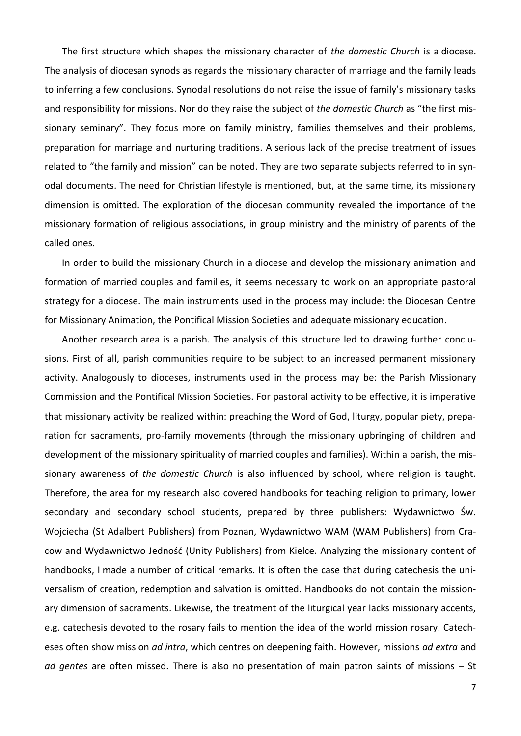The first structure which shapes the missionary character of *the domestic Church* is a diocese. The analysis of diocesan synods as regards the missionary character of marriage and the family leads to inferring a few conclusions. Synodal resolutions do not raise the issue of family's missionary tasks and responsibility for missions. Nor do they raise the subject of *the domestic Church* as "the first missionary seminary". They focus more on family ministry, families themselves and their problems, preparation for marriage and nurturing traditions. A serious lack of the precise treatment of issues related to "the family and mission" can be noted. They are two separate subjects referred to in synodal documents. The need for Christian lifestyle is mentioned, but, at the same time, its missionary dimension is omitted. The exploration of the diocesan community revealed the importance of the missionary formation of religious associations, in group ministry and the ministry of parents of the called ones.

In order to build the missionary Church in a diocese and develop the missionary animation and formation of married couples and families, it seems necessary to work on an appropriate pastoral strategy for a diocese. The main instruments used in the process may include: the Diocesan Centre for Missionary Animation, the Pontifical Mission Societies and adequate missionary education.

Another research area is a parish. The analysis of this structure led to drawing further conclusions. First of all, parish communities require to be subject to an increased permanent missionary activity. Analogously to dioceses, instruments used in the process may be: the Parish Missionary Commission and the Pontifical Mission Societies. For pastoral activity to be effective, it is imperative that missionary activity be realized within: preaching the Word of God, liturgy, popular piety, preparation for sacraments, pro-family movements (through the missionary upbringing of children and development of the missionary spirituality of married couples and families). Within a parish, the missionary awareness of *the domestic Church* is also influenced by school, where religion is taught. Therefore, the area for my research also covered handbooks for teaching religion to primary, lower secondary and secondary school students, prepared by three publishers: Wydawnictwo Św. Wojciecha (St Adalbert Publishers) from Poznan, Wydawnictwo WAM (WAM Publishers) from Cracow and Wydawnictwo Jedność (Unity Publishers) from Kielce. Analyzing the missionary content of handbooks, I made a number of critical remarks. It is often the case that during catechesis the universalism of creation, redemption and salvation is omitted. Handbooks do not contain the missionary dimension of sacraments. Likewise, the treatment of the liturgical year lacks missionary accents, e.g. catechesis devoted to the rosary fails to mention the idea of the world mission rosary. Catecheses often show mission *ad intra*, which centres on deepening faith. However, missions *ad extra* and *ad gentes* are often missed. There is also no presentation of main patron saints of missions – St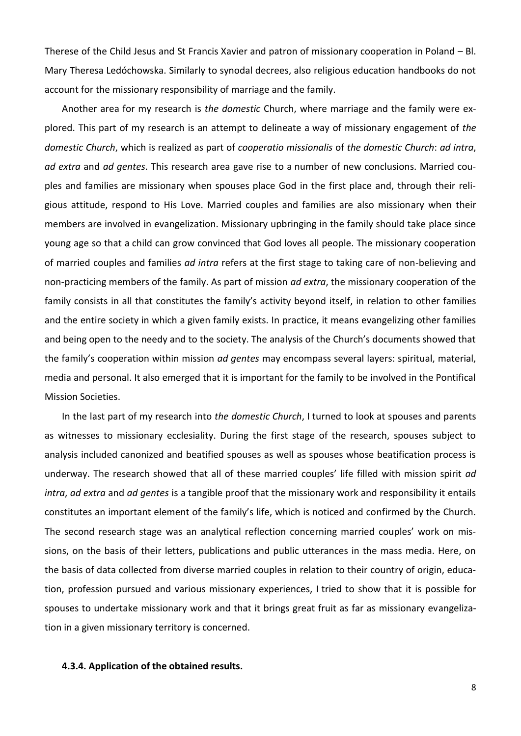Therese of the Child Jesus and St Francis Xavier and patron of missionary cooperation in Poland – Bl. Mary Theresa Ledóchowska. Similarly to synodal decrees, also religious education handbooks do not account for the missionary responsibility of marriage and the family.

Another area for my research is *the domestic* Church, where marriage and the family were explored. This part of my research is an attempt to delineate a way of missionary engagement of *the domestic Church*, which is realized as part of *cooperatio missionalis* of *the domestic Church*: *ad intra*, *ad extra* and *ad gentes*. This research area gave rise to a number of new conclusions. Married couples and families are missionary when spouses place God in the first place and, through their religious attitude, respond to His Love. Married couples and families are also missionary when their members are involved in evangelization. Missionary upbringing in the family should take place since young age so that a child can grow convinced that God loves all people. The missionary cooperation of married couples and families *ad intra* refers at the first stage to taking care of non-believing and non-practicing members of the family. As part of mission *ad extra*, the missionary cooperation of the family consists in all that constitutes the family's activity beyond itself, in relation to other families and the entire society in which a given family exists. In practice, it means evangelizing other families and being open to the needy and to the society. The analysis of the Church's documents showed that the family's cooperation within mission *ad gentes* may encompass several layers: spiritual, material, media and personal. It also emerged that it is important for the family to be involved in the Pontifical Mission Societies.

In the last part of my research into *the domestic Church*, I turned to look at spouses and parents as witnesses to missionary ecclesiality. During the first stage of the research, spouses subject to analysis included canonized and beatified spouses as well as spouses whose beatification process is underway. The research showed that all of these married couples' life filled with mission spirit *ad intra*, *ad extra* and *ad gentes* is a tangible proof that the missionary work and responsibility it entails constitutes an important element of the family's life, which is noticed and confirmed by the Church. The second research stage was an analytical reflection concerning married couples' work on missions, on the basis of their letters, publications and public utterances in the mass media. Here, on the basis of data collected from diverse married couples in relation to their country of origin, education, profession pursued and various missionary experiences, I tried to show that it is possible for spouses to undertake missionary work and that it brings great fruit as far as missionary evangelization in a given missionary territory is concerned.

## **4.3.4. Application of the obtained results.**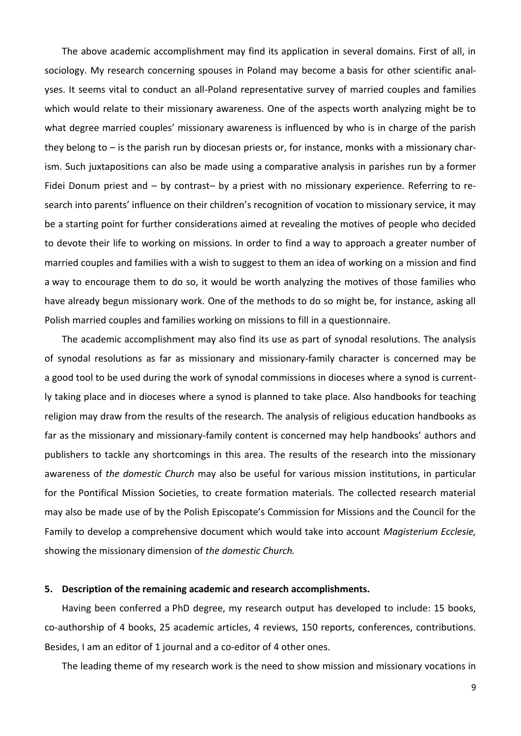The above academic accomplishment may find its application in several domains. First of all, in sociology. My research concerning spouses in Poland may become a basis for other scientific analyses. It seems vital to conduct an all-Poland representative survey of married couples and families which would relate to their missionary awareness. One of the aspects worth analyzing might be to what degree married couples' missionary awareness is influenced by who is in charge of the parish they belong to – is the parish run by diocesan priests or, for instance, monks with a missionary charism. Such juxtapositions can also be made using a comparative analysis in parishes run by a former Fidei Donum priest and – by contrast– by a priest with no missionary experience. Referring to research into parents' influence on their children's recognition of vocation to missionary service, it may be a starting point for further considerations aimed at revealing the motives of people who decided to devote their life to working on missions. In order to find a way to approach a greater number of married couples and families with a wish to suggest to them an idea of working on a mission and find a way to encourage them to do so, it would be worth analyzing the motives of those families who have already begun missionary work. One of the methods to do so might be, for instance, asking all Polish married couples and families working on missions to fill in a questionnaire.

The academic accomplishment may also find its use as part of synodal resolutions. The analysis of synodal resolutions as far as missionary and missionary-family character is concerned may be a good tool to be used during the work of synodal commissions in dioceses where a synod is currently taking place and in dioceses where a synod is planned to take place. Also handbooks for teaching religion may draw from the results of the research. The analysis of religious education handbooks as far as the missionary and missionary-family content is concerned may help handbooks' authors and publishers to tackle any shortcomings in this area. The results of the research into the missionary awareness of *the domestic Church* may also be useful for various mission institutions, in particular for the Pontifical Mission Societies, to create formation materials. The collected research material may also be made use of by the Polish Episcopate's Commission for Missions and the Council for the Family to develop a comprehensive document which would take into account *Magisterium Ecclesie,* showing the missionary dimension of *the domestic Church.*

### **5. Description of the remaining academic and research accomplishments.**

Having been conferred a PhD degree, my research output has developed to include: 15 books, co-authorship of 4 books, 25 academic articles, 4 reviews, 150 reports, conferences, contributions. Besides, I am an editor of 1 journal and a co-editor of 4 other ones.

The leading theme of my research work is the need to show mission and missionary vocations in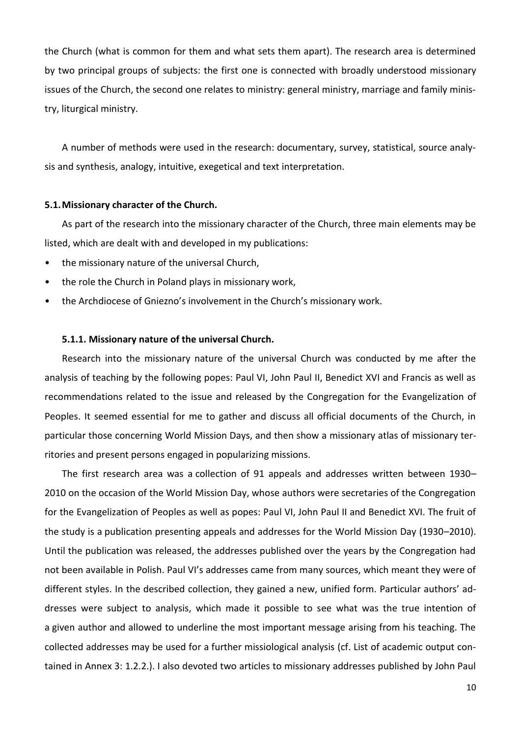the Church (what is common for them and what sets them apart). The research area is determined by two principal groups of subjects: the first one is connected with broadly understood missionary issues of the Church, the second one relates to ministry: general ministry, marriage and family ministry, liturgical ministry.

A number of methods were used in the research: documentary, survey, statistical, source analysis and synthesis, analogy, intuitive, exegetical and text interpretation.

#### **5.1.Missionary character of the Church.**

As part of the research into the missionary character of the Church, three main elements may be listed, which are dealt with and developed in my publications:

- the missionary nature of the universal Church,
- the role the Church in Poland plays in missionary work,
- the Archdiocese of Gniezno's involvement in the Church's missionary work.

#### **5.1.1. Missionary nature of the universal Church.**

Research into the missionary nature of the universal Church was conducted by me after the analysis of teaching by the following popes: Paul VI, John Paul II, Benedict XVI and Francis as well as recommendations related to the issue and released by the Congregation for the Evangelization of Peoples. It seemed essential for me to gather and discuss all official documents of the Church, in particular those concerning World Mission Days, and then show a missionary atlas of missionary territories and present persons engaged in popularizing missions.

The first research area was a collection of 91 appeals and addresses written between 1930– 2010 on the occasion of the World Mission Day, whose authors were secretaries of the Congregation for the Evangelization of Peoples as well as popes: Paul VI, John Paul II and Benedict XVI. The fruit of the study is a publication presenting appeals and addresses for the World Mission Day (1930–2010). Until the publication was released, the addresses published over the years by the Congregation had not been available in Polish. Paul VI's addresses came from many sources, which meant they were of different styles. In the described collection, they gained a new, unified form. Particular authors' addresses were subject to analysis, which made it possible to see what was the true intention of a given author and allowed to underline the most important message arising from his teaching. The collected addresses may be used for a further missiological analysis (cf. List of academic output contained in Annex 3: 1.2.2.). I also devoted two articles to missionary addresses published by John Paul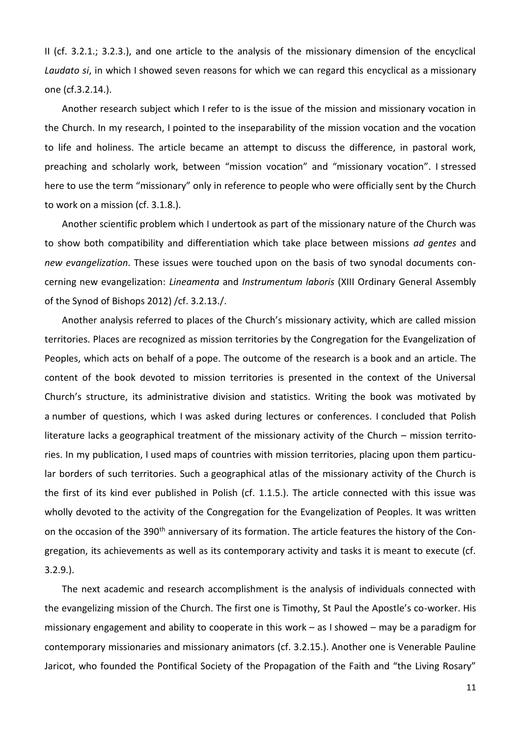II (cf. 3.2.1.; 3.2.3.), and one article to the analysis of the missionary dimension of the encyclical *Laudato si*, in which I showed seven reasons for which we can regard this encyclical as a missionary one (cf.3.2.14.).

Another research subject which I refer to is the issue of the mission and missionary vocation in the Church. In my research, I pointed to the inseparability of the mission vocation and the vocation to life and holiness. The article became an attempt to discuss the difference, in pastoral work, preaching and scholarly work, between "mission vocation" and "missionary vocation". I stressed here to use the term "missionary" only in reference to people who were officially sent by the Church to work on a mission (cf. 3.1.8.).

Another scientific problem which I undertook as part of the missionary nature of the Church was to show both compatibility and differentiation which take place between missions *ad gentes* and *new evangelization*. These issues were touched upon on the basis of two synodal documents concerning new evangelization: *Lineamenta* and *Instrumentum laboris* (XIII Ordinary General Assembly of the Synod of Bishops 2012) /cf. 3.2.13./.

Another analysis referred to places of the Church's missionary activity, which are called mission territories. Places are recognized as mission territories by the Congregation for the Evangelization of Peoples, which acts on behalf of a pope. The outcome of the research is a book and an article. The content of the book devoted to mission territories is presented in the context of the Universal Church's structure, its administrative division and statistics. Writing the book was motivated by a number of questions, which I was asked during lectures or conferences. I concluded that Polish literature lacks a geographical treatment of the missionary activity of the Church – mission territories. In my publication, I used maps of countries with mission territories, placing upon them particular borders of such territories. Such a geographical atlas of the missionary activity of the Church is the first of its kind ever published in Polish (cf. 1.1.5.). The article connected with this issue was wholly devoted to the activity of the Congregation for the Evangelization of Peoples. It was written on the occasion of the 390<sup>th</sup> anniversary of its formation. The article features the history of the Congregation, its achievements as well as its contemporary activity and tasks it is meant to execute (cf. 3.2.9.).

The next academic and research accomplishment is the analysis of individuals connected with the evangelizing mission of the Church. The first one is Timothy, St Paul the Apostle's co-worker. His missionary engagement and ability to cooperate in this work – as I showed – may be a paradigm for contemporary missionaries and missionary animators (cf. 3.2.15.). Another one is Venerable Pauline Jaricot, who founded the Pontifical Society of the Propagation of the Faith and "the Living Rosary"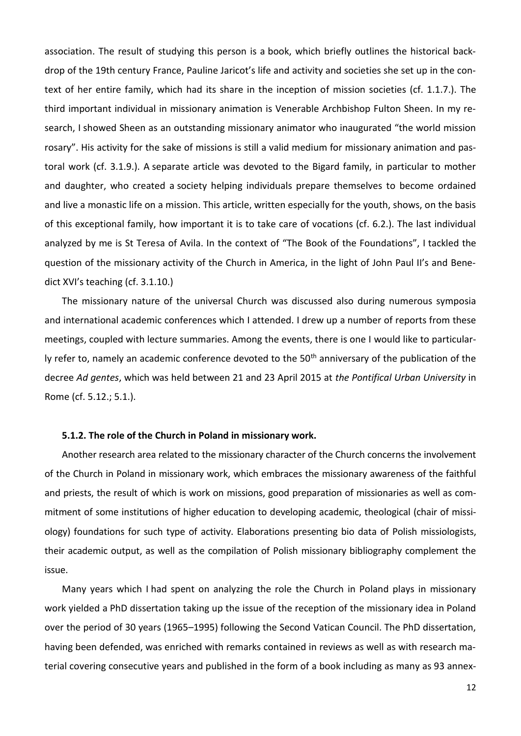association. The result of studying this person is a book, which briefly outlines the historical backdrop of the 19th century France, Pauline Jaricot's life and activity and societies she set up in the context of her entire family, which had its share in the inception of mission societies (cf. 1.1.7.). The third important individual in missionary animation is Venerable Archbishop Fulton Sheen. In my research, I showed Sheen as an outstanding missionary animator who inaugurated "the world mission rosary". His activity for the sake of missions is still a valid medium for missionary animation and pastoral work (cf. 3.1.9.). A separate article was devoted to the Bigard family, in particular to mother and daughter, who created a society helping individuals prepare themselves to become ordained and live a monastic life on a mission. This article, written especially for the youth, shows, on the basis of this exceptional family, how important it is to take care of vocations (cf. 6.2.). The last individual analyzed by me is St Teresa of Avila. In the context of "The Book of the Foundations", I tackled the question of the missionary activity of the Church in America, in the light of John Paul II's and Benedict XVI's teaching (cf. 3.1.10.)

The missionary nature of the universal Church was discussed also during numerous symposia and international academic conferences which I attended. I drew up a number of reports from these meetings, coupled with lecture summaries. Among the events, there is one I would like to particularly refer to, namely an academic conference devoted to the 50<sup>th</sup> anniversary of the publication of the decree *Ad gentes*, which was held between 21 and 23 April 2015 at *the Pontifical Urban University* in Rome (cf. 5.12.; 5.1.).

#### **5.1.2. The role of the Church in Poland in missionary work.**

Another research area related to the missionary character of the Church concerns the involvement of the Church in Poland in missionary work, which embraces the missionary awareness of the faithful and priests, the result of which is work on missions, good preparation of missionaries as well as commitment of some institutions of higher education to developing academic, theological (chair of missiology) foundations for such type of activity. Elaborations presenting bio data of Polish missiologists, their academic output, as well as the compilation of Polish missionary bibliography complement the issue.

Many years which I had spent on analyzing the role the Church in Poland plays in missionary work yielded a PhD dissertation taking up the issue of the reception of the missionary idea in Poland over the period of 30 years (1965–1995) following the Second Vatican Council. The PhD dissertation, having been defended, was enriched with remarks contained in reviews as well as with research material covering consecutive years and published in the form of a book including as many as 93 annex-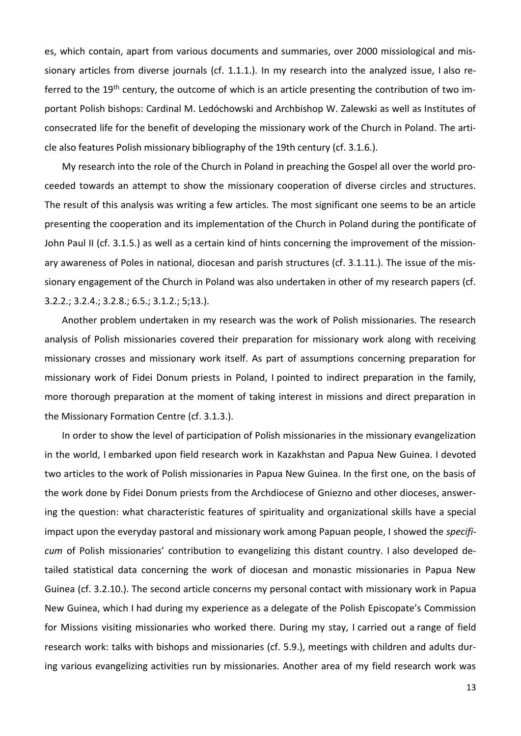es, which contain, apart from various documents and summaries, over 2000 missiological and missionary articles from diverse journals (cf. 1.1.1.). In my research into the analyzed issue, I also referred to the 19<sup>th</sup> century, the outcome of which is an article presenting the contribution of two important Polish bishops: Cardinal M. Ledóchowski and Archbishop W. Zalewski as well as Institutes of consecrated life for the benefit of developing the missionary work of the Church in Poland. The article also features Polish missionary bibliography of the 19th century (cf. 3.1.6.).

My research into the role of the Church in Poland in preaching the Gospel all over the world proceeded towards an attempt to show the missionary cooperation of diverse circles and structures. The result of this analysis was writing a few articles. The most significant one seems to be an article presenting the cooperation and its implementation of the Church in Poland during the pontificate of John Paul II (cf. 3.1.5.) as well as a certain kind of hints concerning the improvement of the missionary awareness of Poles in national, diocesan and parish structures (cf. 3.1.11.). The issue of the missionary engagement of the Church in Poland was also undertaken in other of my research papers (cf. 3.2.2.; 3.2.4.; 3.2.8.; 6.5.; 3.1.2.; 5;13.).

Another problem undertaken in my research was the work of Polish missionaries. The research analysis of Polish missionaries covered their preparation for missionary work along with receiving missionary crosses and missionary work itself. As part of assumptions concerning preparation for missionary work of Fidei Donum priests in Poland, I pointed to indirect preparation in the family, more thorough preparation at the moment of taking interest in missions and direct preparation in the Missionary Formation Centre (cf. 3.1.3.).

In order to show the level of participation of Polish missionaries in the missionary evangelization in the world, I embarked upon field research work in Kazakhstan and Papua New Guinea. I devoted two articles to the work of Polish missionaries in Papua New Guinea. In the first one, on the basis of the work done by Fidei Donum priests from the Archdiocese of Gniezno and other dioceses, answering the question: what characteristic features of spirituality and organizational skills have a special impact upon the everyday pastoral and missionary work among Papuan people, I showed the *specificum* of Polish missionaries' contribution to evangelizing this distant country. I also developed detailed statistical data concerning the work of diocesan and monastic missionaries in Papua New Guinea (cf. 3.2.10.). The second article concerns my personal contact with missionary work in Papua New Guinea, which I had during my experience as a delegate of the Polish Episcopate's Commission for Missions visiting missionaries who worked there. During my stay, I carried out a range of field research work: talks with bishops and missionaries (cf. 5.9.), meetings with children and adults during various evangelizing activities run by missionaries. Another area of my field research work was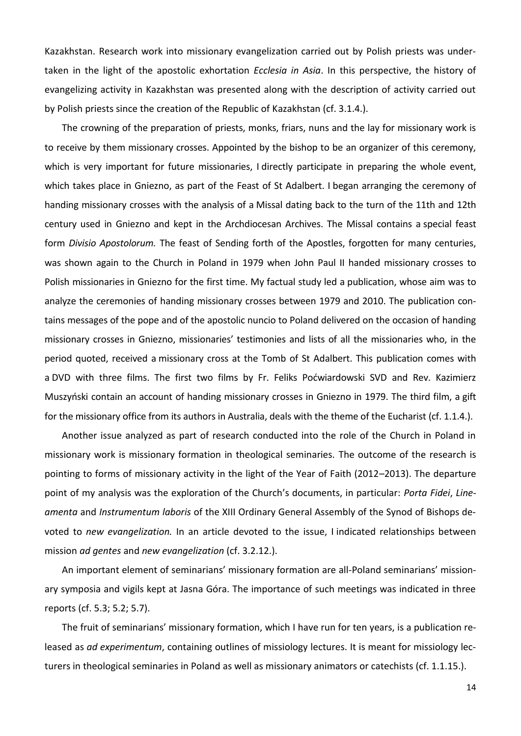Kazakhstan. Research work into missionary evangelization carried out by Polish priests was undertaken in the light of the apostolic exhortation *Ecclesia in Asia*. In this perspective, the history of evangelizing activity in Kazakhstan was presented along with the description of activity carried out by Polish priests since the creation of the Republic of Kazakhstan (cf. 3.1.4.).

The crowning of the preparation of priests, monks, friars, nuns and the lay for missionary work is to receive by them missionary crosses. Appointed by the bishop to be an organizer of this ceremony, which is very important for future missionaries, I directly participate in preparing the whole event, which takes place in Gniezno, as part of the Feast of St Adalbert. I began arranging the ceremony of handing missionary crosses with the analysis of a Missal dating back to the turn of the 11th and 12th century used in Gniezno and kept in the Archdiocesan Archives. The Missal contains a special feast form *Divisio Apostolorum.* The feast of Sending forth of the Apostles, forgotten for many centuries, was shown again to the Church in Poland in 1979 when John Paul II handed missionary crosses to Polish missionaries in Gniezno for the first time. My factual study led a publication, whose aim was to analyze the ceremonies of handing missionary crosses between 1979 and 2010. The publication contains messages of the pope and of the apostolic nuncio to Poland delivered on the occasion of handing missionary crosses in Gniezno, missionaries' testimonies and lists of all the missionaries who, in the period quoted, received a missionary cross at the Tomb of St Adalbert. This publication comes with a DVD with three films. The first two films by Fr. Feliks Poćwiardowski SVD and Rev. Kazimierz Muszyński contain an account of handing missionary crosses in Gniezno in 1979. The third film, a gift for the missionary office from its authors in Australia, deals with the theme of the Eucharist (cf. 1.1.4.).

Another issue analyzed as part of research conducted into the role of the Church in Poland in missionary work is missionary formation in theological seminaries. The outcome of the research is pointing to forms of missionary activity in the light of the Year of Faith (2012–2013). The departure point of my analysis was the exploration of the Church's documents, in particular: *Porta Fidei*, *Lineamenta* and *Instrumentum laboris* of the XIII Ordinary General Assembly of the Synod of Bishops devoted to *new evangelization.* In an article devoted to the issue, I indicated relationships between mission *ad gentes* and *new evangelization* (cf. 3.2.12.).

An important element of seminarians' missionary formation are all-Poland seminarians' missionary symposia and vigils kept at Jasna Góra. The importance of such meetings was indicated in three reports (cf. 5.3; 5.2; 5.7).

The fruit of seminarians' missionary formation, which I have run for ten years, is a publication released as *ad experimentum*, containing outlines of missiology lectures. It is meant for missiology lecturers in theological seminaries in Poland as well as missionary animators or catechists (cf. 1.1.15.).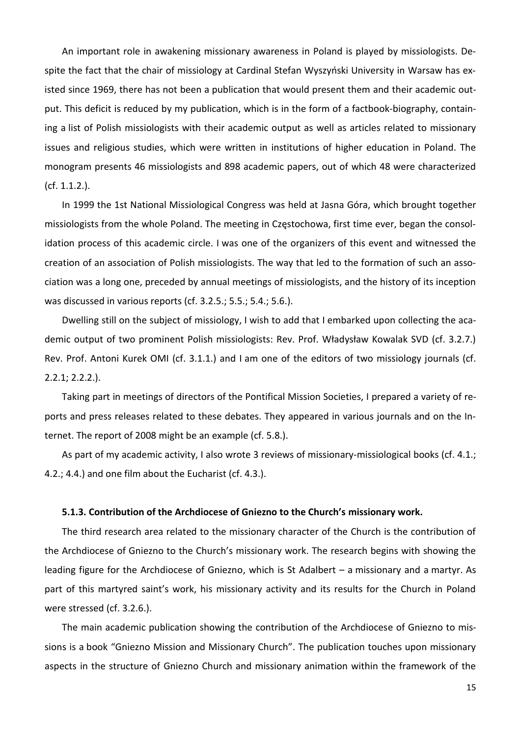An important role in awakening missionary awareness in Poland is played by missiologists. Despite the fact that the chair of missiology at Cardinal Stefan Wyszyński University in Warsaw has existed since 1969, there has not been a publication that would present them and their academic output. This deficit is reduced by my publication, which is in the form of a factbook-biography, containing a list of Polish missiologists with their academic output as well as articles related to missionary issues and religious studies, which were written in institutions of higher education in Poland. The monogram presents 46 missiologists and 898 academic papers, out of which 48 were characterized (cf. 1.1.2.).

In 1999 the 1st National Missiological Congress was held at Jasna Góra, which brought together missiologists from the whole Poland. The meeting in Częstochowa, first time ever, began the consolidation process of this academic circle. I was one of the organizers of this event and witnessed the creation of an association of Polish missiologists. The way that led to the formation of such an association was a long one, preceded by annual meetings of missiologists, and the history of its inception was discussed in various reports (cf. 3.2.5.; 5.5.; 5.4.; 5.6.).

Dwelling still on the subject of missiology, I wish to add that I embarked upon collecting the academic output of two prominent Polish missiologists: Rev. Prof. Władysław Kowalak SVD (cf. 3.2.7.) Rev. Prof. Antoni Kurek OMI (cf. 3.1.1.) and I am one of the editors of two missiology journals (cf. 2.2.1; 2.2.2.).

Taking part in meetings of directors of the Pontifical Mission Societies, I prepared a variety of reports and press releases related to these debates. They appeared in various journals and on the Internet. The report of 2008 might be an example (cf. 5.8.).

As part of my academic activity, I also wrote 3 reviews of missionary-missiological books (cf. 4.1.; 4.2.; 4.4.) and one film about the Eucharist (cf. 4.3.).

## **5.1.3. Contribution of the Archdiocese of Gniezno to the Church's missionary work.**

The third research area related to the missionary character of the Church is the contribution of the Archdiocese of Gniezno to the Church's missionary work. The research begins with showing the leading figure for the Archdiocese of Gniezno, which is St Adalbert – a missionary and a martyr. As part of this martyred saint's work, his missionary activity and its results for the Church in Poland were stressed (cf. 3.2.6.).

The main academic publication showing the contribution of the Archdiocese of Gniezno to missions is a book "Gniezno Mission and Missionary Church". The publication touches upon missionary aspects in the structure of Gniezno Church and missionary animation within the framework of the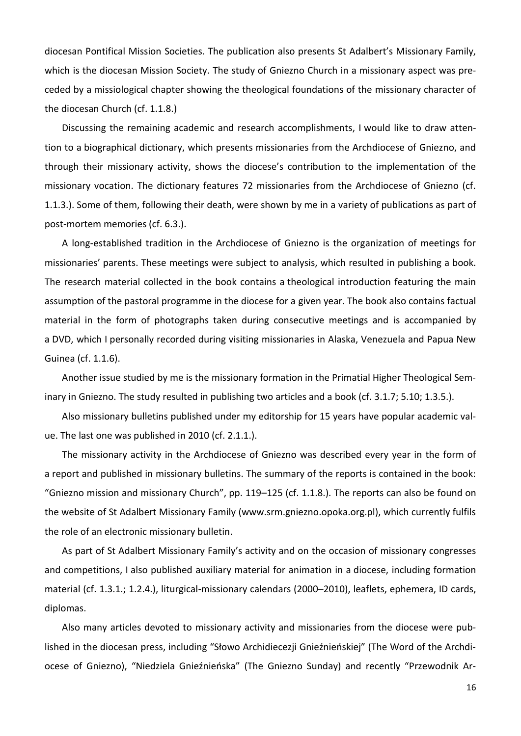diocesan Pontifical Mission Societies. The publication also presents St Adalbert's Missionary Family, which is the diocesan Mission Society. The study of Gniezno Church in a missionary aspect was preceded by a missiological chapter showing the theological foundations of the missionary character of the diocesan Church (cf. 1.1.8.)

Discussing the remaining academic and research accomplishments, I would like to draw attention to a biographical dictionary, which presents missionaries from the Archdiocese of Gniezno, and through their missionary activity, shows the diocese's contribution to the implementation of the missionary vocation. The dictionary features 72 missionaries from the Archdiocese of Gniezno (cf. 1.1.3.). Some of them, following their death, were shown by me in a variety of publications as part of post-mortem memories (cf. 6.3.).

A long-established tradition in the Archdiocese of Gniezno is the organization of meetings for missionaries' parents. These meetings were subject to analysis, which resulted in publishing a book. The research material collected in the book contains a theological introduction featuring the main assumption of the pastoral programme in the diocese for a given year. The book also contains factual material in the form of photographs taken during consecutive meetings and is accompanied by a DVD, which I personally recorded during visiting missionaries in Alaska, Venezuela and Papua New Guinea (cf. 1.1.6).

Another issue studied by me is the missionary formation in the Primatial Higher Theological Seminary in Gniezno. The study resulted in publishing two articles and a book (cf. 3.1.7; 5.10; 1.3.5.).

Also missionary bulletins published under my editorship for 15 years have popular academic value. The last one was published in 2010 (cf. 2.1.1.).

The missionary activity in the Archdiocese of Gniezno was described every year in the form of a report and published in missionary bulletins. The summary of the reports is contained in the book: "Gniezno mission and missionary Church", pp. 119–125 (cf. 1.1.8.). The reports can also be found on the website of St Adalbert Missionary Family (www.srm.gniezno.opoka.org.pl), which currently fulfils the role of an electronic missionary bulletin.

As part of St Adalbert Missionary Family's activity and on the occasion of missionary congresses and competitions, I also published auxiliary material for animation in a diocese, including formation material (cf. 1.3.1.; 1.2.4.), liturgical-missionary calendars (2000–2010), leaflets, ephemera, ID cards, diplomas.

Also many articles devoted to missionary activity and missionaries from the diocese were published in the diocesan press, including "Słowo Archidiecezji Gnieźnieńskiej" (The Word of the Archdiocese of Gniezno), "Niedziela Gnieźnieńska" (The Gniezno Sunday) and recently "Przewodnik Ar-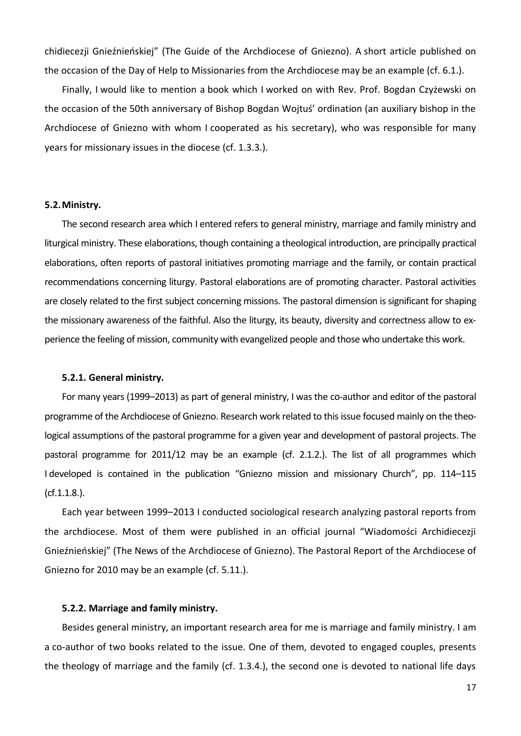chidiecezji Gnieźnieńskiej" (The Guide of the Archdiocese of Gniezno). A short article published on the occasion of the Day of Help to Missionaries from the Archdiocese may be an example (cf. 6.1.).

Finally, I would like to mention a book which I worked on with Rev. Prof. Bogdan Czyżewski on the occasion of the 50th anniversary of Bishop Bogdan Wojtuś' ordination (an auxiliary bishop in the Archdiocese of Gniezno with whom I cooperated as his secretary), who was responsible for many years for missionary issues in the diocese (cf. 1.3.3.).

### **5.2.Ministry.**

The second research area which I entered refers to general ministry, marriage and family ministry and liturgical ministry. These elaborations, though containing a theological introduction, are principally practical elaborations, often reports of pastoral initiatives promoting marriage and the family, or contain practical recommendations concerning liturgy. Pastoral elaborations are of promoting character. Pastoral activities are closely related to the first subject concerning missions. The pastoral dimension is significant for shaping the missionary awareness of the faithful. Also the liturgy, its beauty, diversity and correctness allow to experience the feeling of mission, community with evangelized people and those who undertake this work.

#### **5.2.1. General ministry.**

For many years (1999–2013) as part of general ministry, I was the co-author and editor of the pastoral programme of the Archdiocese of Gniezno. Research work related to this issue focused mainly on the theological assumptions of the pastoral programme for a given year and development of pastoral projects. The pastoral programme for 2011/12 may be an example (cf. 2.1.2.). The list of all programmes which I developed is contained in the publication "Gniezno mission and missionary Church", pp. 114–115 (cf.1.1.8.).

Each year between 1999–2013 I conducted sociological research analyzing pastoral reports from the archdiocese. Most of them were published in an official journal "Wiadomości Archidiecezji Gnieźnieńskiej" (The News of the Archdiocese of Gniezno). The Pastoral Report of the Archdiocese of Gniezno for 2010 may be an example (cf. 5.11.).

#### **5.2.2. Marriage and family ministry.**

Besides general ministry, an important research area for me is marriage and family ministry. I am a co-author of two books related to the issue. One of them, devoted to engaged couples, presents the theology of marriage and the family (cf. 1.3.4.), the second one is devoted to national life days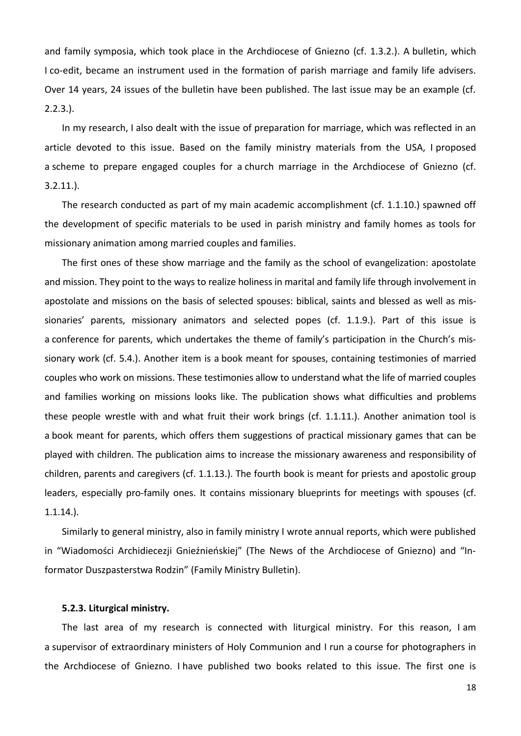and family symposia, which took place in the Archdiocese of Gniezno (cf. 1.3.2.). A bulletin, which I co-edit, became an instrument used in the formation of parish marriage and family life advisers. Over 14 years, 24 issues of the bulletin have been published. The last issue may be an example (cf. 2.2.3.).

In my research, I also dealt with the issue of preparation for marriage, which was reflected in an article devoted to this issue. Based on the family ministry materials from the USA, I proposed a scheme to prepare engaged couples for a church marriage in the Archdiocese of Gniezno (cf. 3.2.11.).

The research conducted as part of my main academic accomplishment (cf. 1.1.10.) spawned off the development of specific materials to be used in parish ministry and family homes as tools for missionary animation among married couples and families.

The first ones of these show marriage and the family as the school of evangelization: apostolate and mission. They point to the ways to realize holiness in marital and family life through involvement in apostolate and missions on the basis of selected spouses: biblical, saints and blessed as well as missionaries' parents, missionary animators and selected popes (cf. 1.1.9.). Part of this issue is a conference for parents, which undertakes the theme of family's participation in the Church's missionary work (cf. 5.4.). Another item is a book meant for spouses, containing testimonies of married couples who work on missions. These testimonies allow to understand what the life of married couples and families working on missions looks like. The publication shows what difficulties and problems these people wrestle with and what fruit their work brings (cf. 1.1.11.). Another animation tool is a book meant for parents, which offers them suggestions of practical missionary games that can be played with children. The publication aims to increase the missionary awareness and responsibility of children, parents and caregivers (cf. 1.1.13.). The fourth book is meant for priests and apostolic group leaders, especially pro-family ones. It contains missionary blueprints for meetings with spouses (cf. 1.1.14.).

Similarly to general ministry, also in family ministry I wrote annual reports, which were published in "Wiadomości Archidiecezji Gnieźnieńskiej" (The News of the Archdiocese of Gniezno) and "Informator Duszpasterstwa Rodzin" (Family Ministry Bulletin).

### **5.2.3. Liturgical ministry.**

The last area of my research is connected with liturgical ministry. For this reason, I am a supervisor of extraordinary ministers of Holy Communion and I run a course for photographers in the Archdiocese of Gniezno. I have published two books related to this issue. The first one is